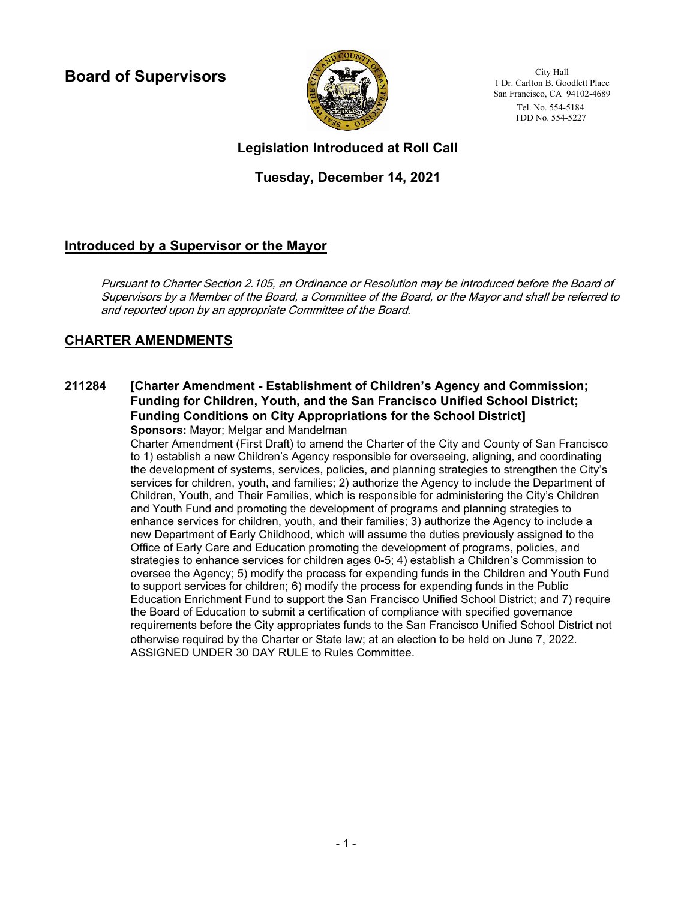**Board of Supervisors**



City Hall 1 Dr. Carlton B. Goodlett Place San Francisco, CA 94102-4689 Tel. No. 554-5184 TDD No. 554-5227

# **Legislation Introduced at Roll Call**

# **Tuesday, December 14, 2021**

# **Introduced by a Supervisor or the Mayor**

Pursuant to Charter Section 2.105, an Ordinance or Resolution may be introduced before the Board of Supervisors by a Member of the Board, a Committee of the Board, or the Mayor and shall be referred to and reported upon by an appropriate Committee of the Board.

# **CHARTER AMENDMENTS**

## **[Charter Amendment - Establishment of Children's Agency and Commission; Funding for Children, Youth, and the San Francisco Unified School District; Funding Conditions on City Appropriations for the School District] 211284**

**Sponsors:** Mayor; Melgar and Mandelman

Charter Amendment (First Draft) to amend the Charter of the City and County of San Francisco to 1) establish a new Children's Agency responsible for overseeing, aligning, and coordinating the development of systems, services, policies, and planning strategies to strengthen the City's services for children, youth, and families; 2) authorize the Agency to include the Department of Children, Youth, and Their Families, which is responsible for administering the City's Children and Youth Fund and promoting the development of programs and planning strategies to enhance services for children, youth, and their families; 3) authorize the Agency to include a new Department of Early Childhood, which will assume the duties previously assigned to the Office of Early Care and Education promoting the development of programs, policies, and strategies to enhance services for children ages 0-5; 4) establish a Children's Commission to oversee the Agency; 5) modify the process for expending funds in the Children and Youth Fund to support services for children; 6) modify the process for expending funds in the Public Education Enrichment Fund to support the San Francisco Unified School District; and 7) require the Board of Education to submit a certification of compliance with specified governance requirements before the City appropriates funds to the San Francisco Unified School District not otherwise required by the Charter or State law; at an election to be held on June 7, 2022. ASSIGNED UNDER 30 DAY RULE to Rules Committee.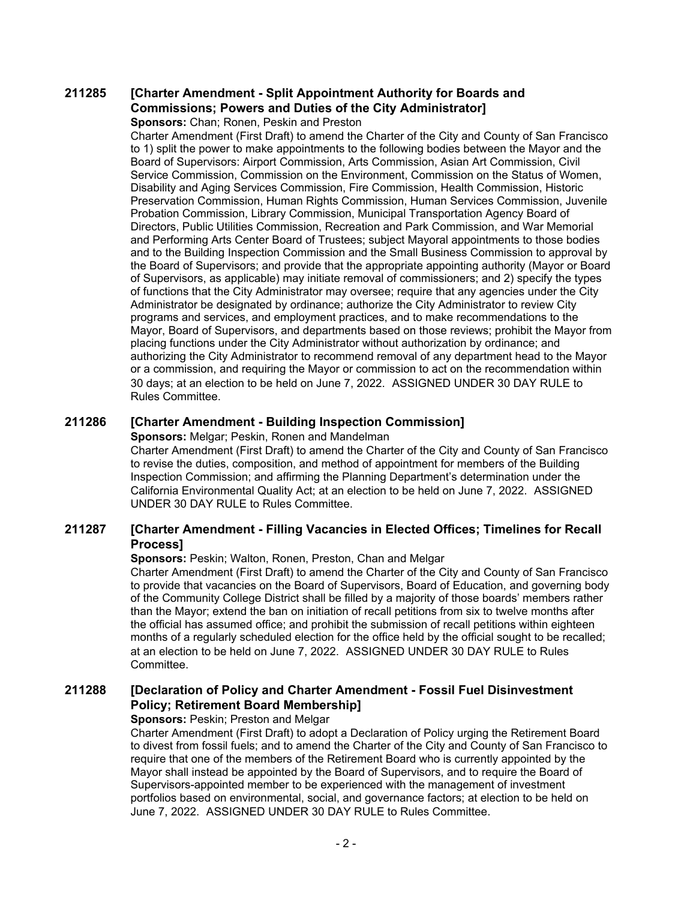#### **[Charter Amendment - Split Appointment Authority for Boards and Commissions; Powers and Duties of the City Administrator] 211285**

**Sponsors:** Chan; Ronen, Peskin and Preston

Charter Amendment (First Draft) to amend the Charter of the City and County of San Francisco to 1) split the power to make appointments to the following bodies between the Mayor and the Board of Supervisors: Airport Commission, Arts Commission, Asian Art Commission, Civil Service Commission, Commission on the Environment, Commission on the Status of Women, Disability and Aging Services Commission, Fire Commission, Health Commission, Historic Preservation Commission, Human Rights Commission, Human Services Commission, Juvenile Probation Commission, Library Commission, Municipal Transportation Agency Board of Directors, Public Utilities Commission, Recreation and Park Commission, and War Memorial and Performing Arts Center Board of Trustees; subject Mayoral appointments to those bodies and to the Building Inspection Commission and the Small Business Commission to approval by the Board of Supervisors; and provide that the appropriate appointing authority (Mayor or Board of Supervisors, as applicable) may initiate removal of commissioners; and 2) specify the types of functions that the City Administrator may oversee; require that any agencies under the City Administrator be designated by ordinance; authorize the City Administrator to review City programs and services, and employment practices, and to make recommendations to the Mayor, Board of Supervisors, and departments based on those reviews; prohibit the Mayor from placing functions under the City Administrator without authorization by ordinance; and authorizing the City Administrator to recommend removal of any department head to the Mayor or a commission, and requiring the Mayor or commission to act on the recommendation within 30 days; at an election to be held on June 7, 2022. ASSIGNED UNDER 30 DAY RULE to Rules Committee.

## **211286 [Charter Amendment - Building Inspection Commission]**

**Sponsors:** Melgar; Peskin, Ronen and Mandelman

Charter Amendment (First Draft) to amend the Charter of the City and County of San Francisco to revise the duties, composition, and method of appointment for members of the Building Inspection Commission; and affirming the Planning Department's determination under the California Environmental Quality Act; at an election to be held on June 7, 2022. ASSIGNED UNDER 30 DAY RULE to Rules Committee.

#### **[Charter Amendment - Filling Vacancies in Elected Offices; Timelines for Recall Process] 211287**

## **Sponsors:** Peskin; Walton, Ronen, Preston, Chan and Melgar

Charter Amendment (First Draft) to amend the Charter of the City and County of San Francisco to provide that vacancies on the Board of Supervisors, Board of Education, and governing body of the Community College District shall be filled by a majority of those boards' members rather than the Mayor; extend the ban on initiation of recall petitions from six to twelve months after the official has assumed office; and prohibit the submission of recall petitions within eighteen months of a regularly scheduled election for the office held by the official sought to be recalled; at an election to be held on June 7, 2022. ASSIGNED UNDER 30 DAY RULE to Rules Committee.

#### **[Declaration of Policy and Charter Amendment - Fossil Fuel Disinvestment Policy; Retirement Board Membership] 211288**

## **Sponsors:** Peskin; Preston and Melgar

Charter Amendment (First Draft) to adopt a Declaration of Policy urging the Retirement Board to divest from fossil fuels; and to amend the Charter of the City and County of San Francisco to require that one of the members of the Retirement Board who is currently appointed by the Mayor shall instead be appointed by the Board of Supervisors, and to require the Board of Supervisors-appointed member to be experienced with the management of investment portfolios based on environmental, social, and governance factors; at election to be held on June 7, 2022. ASSIGNED UNDER 30 DAY RULE to Rules Committee.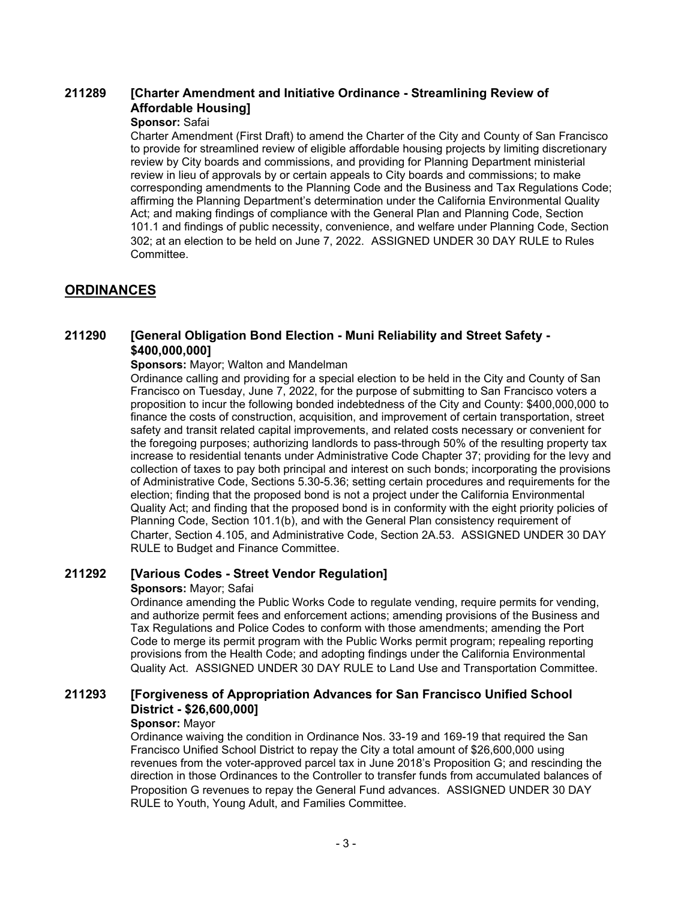### **[Charter Amendment and Initiative Ordinance - Streamlining Review of Affordable Housing] 211289**

## **Sponsor:** Safai

Charter Amendment (First Draft) to amend the Charter of the City and County of San Francisco to provide for streamlined review of eligible affordable housing projects by limiting discretionary review by City boards and commissions, and providing for Planning Department ministerial review in lieu of approvals by or certain appeals to City boards and commissions; to make corresponding amendments to the Planning Code and the Business and Tax Regulations Code; affirming the Planning Department's determination under the California Environmental Quality Act; and making findings of compliance with the General Plan and Planning Code, Section 101.1 and findings of public necessity, convenience, and welfare under Planning Code, Section 302; at an election to be held on June 7, 2022. ASSIGNED UNDER 30 DAY RULE to Rules Committee.

# **ORDINANCES**

#### **[General Obligation Bond Election - Muni Reliability and Street Safety - \$400,000,000] 211290**

## **Sponsors:** Mayor; Walton and Mandelman

Ordinance calling and providing for a special election to be held in the City and County of San Francisco on Tuesday, June 7, 2022, for the purpose of submitting to San Francisco voters a proposition to incur the following bonded indebtedness of the City and County: \$400,000,000 to finance the costs of construction, acquisition, and improvement of certain transportation, street safety and transit related capital improvements, and related costs necessary or convenient for the foregoing purposes; authorizing landlords to pass-through 50% of the resulting property tax increase to residential tenants under Administrative Code Chapter 37; providing for the levy and collection of taxes to pay both principal and interest on such bonds; incorporating the provisions of Administrative Code, Sections 5.30-5.36; setting certain procedures and requirements for the election; finding that the proposed bond is not a project under the California Environmental Quality Act; and finding that the proposed bond is in conformity with the eight priority policies of Planning Code, Section 101.1(b), and with the General Plan consistency requirement of Charter, Section 4.105, and Administrative Code, Section 2A.53. ASSIGNED UNDER 30 DAY RULE to Budget and Finance Committee.

## **211292 [Various Codes - Street Vendor Regulation]**

## **Sponsors:** Mayor; Safai

Ordinance amending the Public Works Code to regulate vending, require permits for vending, and authorize permit fees and enforcement actions; amending provisions of the Business and Tax Regulations and Police Codes to conform with those amendments; amending the Port Code to merge its permit program with the Public Works permit program; repealing reporting provisions from the Health Code; and adopting findings under the California Environmental Quality Act. ASSIGNED UNDER 30 DAY RULE to Land Use and Transportation Committee.

#### **[Forgiveness of Appropriation Advances for San Francisco Unified School District - \$26,600,000] 211293**

### **Sponsor:** Mayor

Ordinance waiving the condition in Ordinance Nos. 33-19 and 169-19 that required the San Francisco Unified School District to repay the City a total amount of \$26,600,000 using revenues from the voter-approved parcel tax in June 2018's Proposition G; and rescinding the direction in those Ordinances to the Controller to transfer funds from accumulated balances of Proposition G revenues to repay the General Fund advances. ASSIGNED UNDER 30 DAY RULE to Youth, Young Adult, and Families Committee.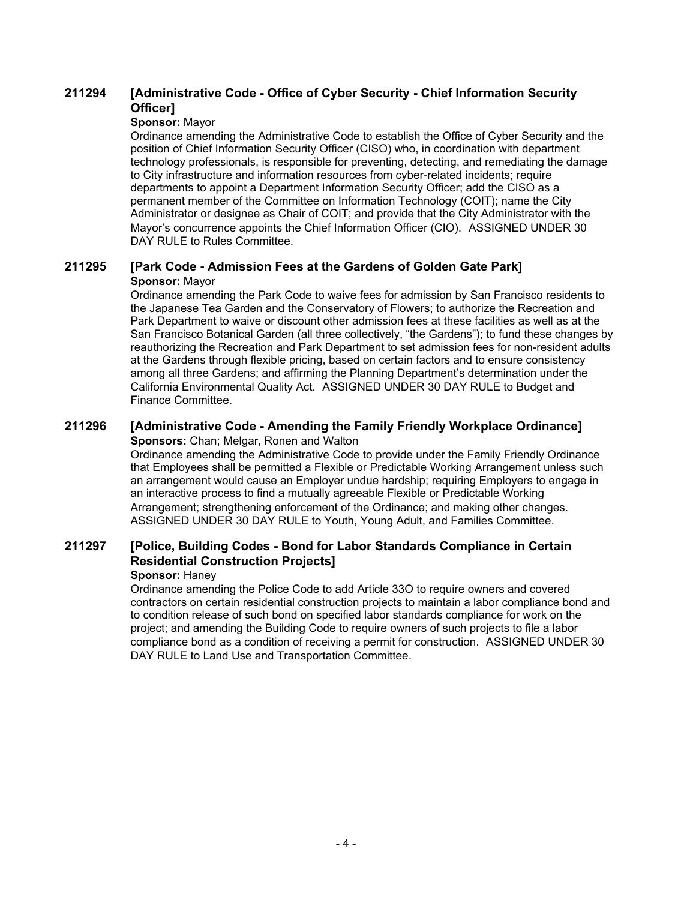#### **[Administrative Code - Office of Cyber Security - Chief Information Security Officer] 211294**

## **Sponsor:** Mayor

Ordinance amending the Administrative Code to establish the Office of Cyber Security and the position of Chief Information Security Officer (CISO) who, in coordination with department technology professionals, is responsible for preventing, detecting, and remediating the damage to City infrastructure and information resources from cyber-related incidents; require departments to appoint a Department Information Security Officer; add the CISO as a permanent member of the Committee on Information Technology (COIT); name the City Administrator or designee as Chair of COIT; and provide that the City Administrator with the Mayor's concurrence appoints the Chief Information Officer (CIO). ASSIGNED UNDER 30 DAY RULE to Rules Committee.

## **211295 [Park Code - Admission Fees at the Gardens of Golden Gate Park] Sponsor:** Mayor

Ordinance amending the Park Code to waive fees for admission by San Francisco residents to the Japanese Tea Garden and the Conservatory of Flowers; to authorize the Recreation and Park Department to waive or discount other admission fees at these facilities as well as at the San Francisco Botanical Garden (all three collectively, "the Gardens"); to fund these changes by reauthorizing the Recreation and Park Department to set admission fees for non-resident adults at the Gardens through flexible pricing, based on certain factors and to ensure consistency among all three Gardens; and affirming the Planning Department's determination under the California Environmental Quality Act. ASSIGNED UNDER 30 DAY RULE to Budget and Finance Committee.

# **211296 [Administrative Code - Amending the Family Friendly Workplace Ordinance]**

## **Sponsors:** Chan; Melgar, Ronen and Walton

Ordinance amending the Administrative Code to provide under the Family Friendly Ordinance that Employees shall be permitted a Flexible or Predictable Working Arrangement unless such an arrangement would cause an Employer undue hardship; requiring Employers to engage in an interactive process to find a mutually agreeable Flexible or Predictable Working Arrangement; strengthening enforcement of the Ordinance; and making other changes. ASSIGNED UNDER 30 DAY RULE to Youth, Young Adult, and Families Committee.

#### **[Police, Building Codes - Bond for Labor Standards Compliance in Certain Residential Construction Projects] 211297**

## **Sponsor:** Haney

Ordinance amending the Police Code to add Article 33O to require owners and covered contractors on certain residential construction projects to maintain a labor compliance bond and to condition release of such bond on specified labor standards compliance for work on the project; and amending the Building Code to require owners of such projects to file a labor compliance bond as a condition of receiving a permit for construction. ASSIGNED UNDER 30 DAY RULE to Land Use and Transportation Committee.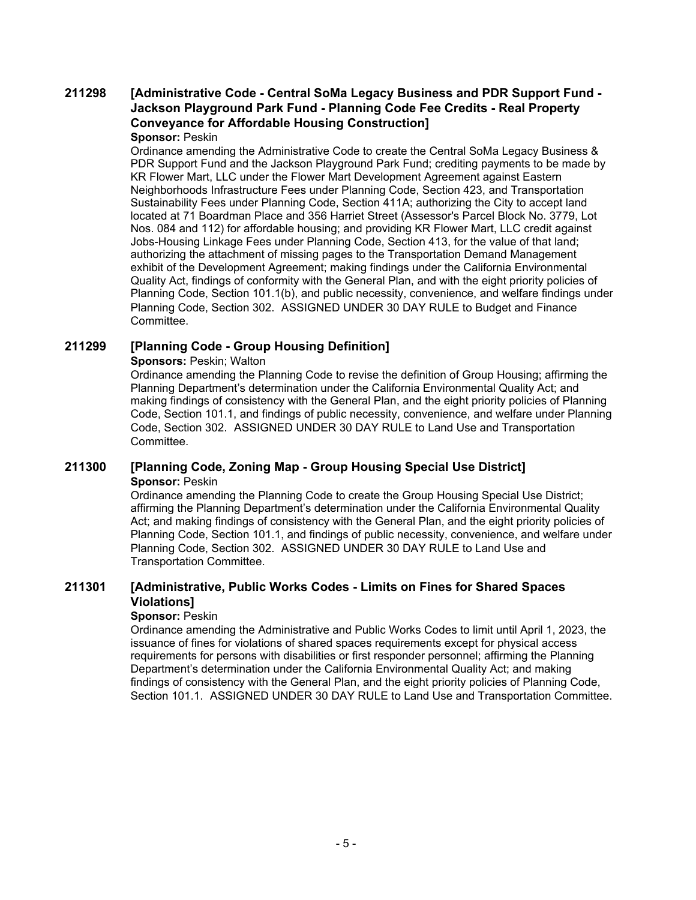## **[Administrative Code - Central SoMa Legacy Business and PDR Support Fund - Jackson Playground Park Fund - Planning Code Fee Credits - Real Property Conveyance for Affordable Housing Construction] 211298**

## **Sponsor:** Peskin

Ordinance amending the Administrative Code to create the Central SoMa Legacy Business & PDR Support Fund and the Jackson Playground Park Fund; crediting payments to be made by KR Flower Mart, LLC under the Flower Mart Development Agreement against Eastern Neighborhoods Infrastructure Fees under Planning Code, Section 423, and Transportation Sustainability Fees under Planning Code, Section 411A; authorizing the City to accept land located at 71 Boardman Place and 356 Harriet Street (Assessor's Parcel Block No. 3779, Lot Nos. 084 and 112) for affordable housing; and providing KR Flower Mart, LLC credit against Jobs-Housing Linkage Fees under Planning Code, Section 413, for the value of that land; authorizing the attachment of missing pages to the Transportation Demand Management exhibit of the Development Agreement; making findings under the California Environmental Quality Act, findings of conformity with the General Plan, and with the eight priority policies of Planning Code, Section 101.1(b), and public necessity, convenience, and welfare findings under Planning Code, Section 302. ASSIGNED UNDER 30 DAY RULE to Budget and Finance Committee.

## **211299 [Planning Code - Group Housing Definition]**

## **Sponsors: Peskin; Walton**

Ordinance amending the Planning Code to revise the definition of Group Housing; affirming the Planning Department's determination under the California Environmental Quality Act; and making findings of consistency with the General Plan, and the eight priority policies of Planning Code, Section 101.1, and findings of public necessity, convenience, and welfare under Planning Code, Section 302. ASSIGNED UNDER 30 DAY RULE to Land Use and Transportation **Committee.** 

## **211300 [Planning Code, Zoning Map - Group Housing Special Use District] Sponsor: Peskin**

Ordinance amending the Planning Code to create the Group Housing Special Use District; affirming the Planning Department's determination under the California Environmental Quality Act; and making findings of consistency with the General Plan, and the eight priority policies of Planning Code, Section 101.1, and findings of public necessity, convenience, and welfare under Planning Code, Section 302. ASSIGNED UNDER 30 DAY RULE to Land Use and Transportation Committee.

#### **[Administrative, Public Works Codes - Limits on Fines for Shared Spaces Violations] 211301**

## **Sponsor:** Peskin

Ordinance amending the Administrative and Public Works Codes to limit until April 1, 2023, the issuance of fines for violations of shared spaces requirements except for physical access requirements for persons with disabilities or first responder personnel; affirming the Planning Department's determination under the California Environmental Quality Act; and making findings of consistency with the General Plan, and the eight priority policies of Planning Code, Section 101.1. ASSIGNED UNDER 30 DAY RULE to Land Use and Transportation Committee.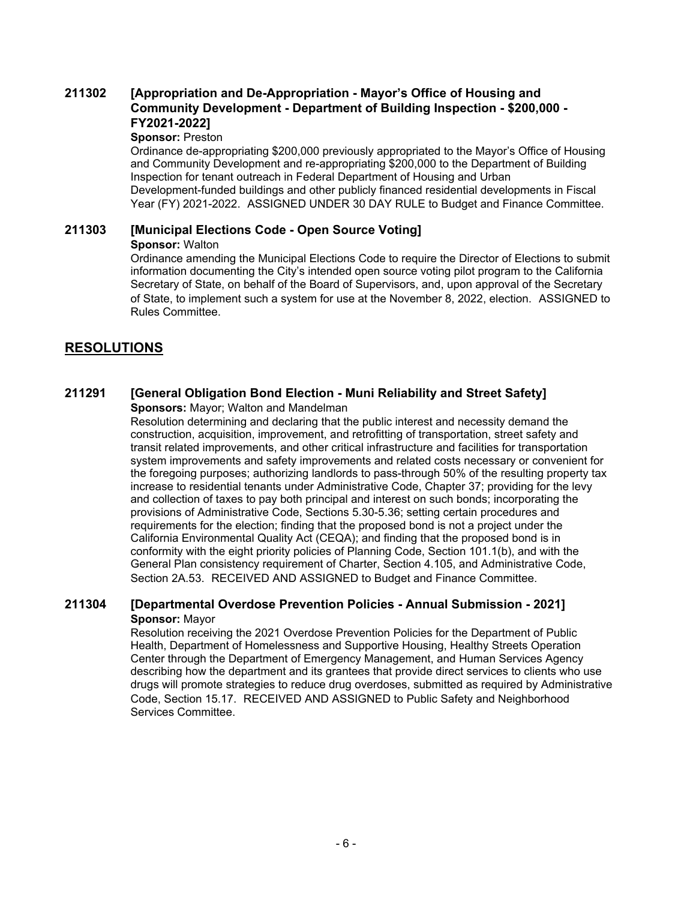### **[Appropriation and De-Appropriation - Mayor's Office of Housing and Community Development - Department of Building Inspection - \$200,000 - FY2021-2022] 211302**

## **Sponsor:** Preston

Ordinance de-appropriating \$200,000 previously appropriated to the Mayor's Office of Housing and Community Development and re-appropriating \$200,000 to the Department of Building Inspection for tenant outreach in Federal Department of Housing and Urban Development-funded buildings and other publicly financed residential developments in Fiscal Year (FY) 2021-2022. ASSIGNED UNDER 30 DAY RULE to Budget and Finance Committee.

# **211303 [Municipal Elections Code - Open Source Voting]**

## **Sponsor:** Walton

Ordinance amending the Municipal Elections Code to require the Director of Elections to submit information documenting the City's intended open source voting pilot program to the California Secretary of State, on behalf of the Board of Supervisors, and, upon approval of the Secretary of State, to implement such a system for use at the November 8, 2022, election. ASSIGNED to Rules Committee.

# **RESOLUTIONS**

# **211291 [General Obligation Bond Election - Muni Reliability and Street Safety]**

**Sponsors:** Mayor; Walton and Mandelman

Resolution determining and declaring that the public interest and necessity demand the construction, acquisition, improvement, and retrofitting of transportation, street safety and transit related improvements, and other critical infrastructure and facilities for transportation system improvements and safety improvements and related costs necessary or convenient for the foregoing purposes; authorizing landlords to pass-through 50% of the resulting property tax increase to residential tenants under Administrative Code, Chapter 37; providing for the levy and collection of taxes to pay both principal and interest on such bonds; incorporating the provisions of Administrative Code, Sections 5.30-5.36; setting certain procedures and requirements for the election; finding that the proposed bond is not a project under the California Environmental Quality Act (CEQA); and finding that the proposed bond is in conformity with the eight priority policies of Planning Code, Section 101.1(b), and with the General Plan consistency requirement of Charter, Section 4.105, and Administrative Code, Section 2A.53. RECEIVED AND ASSIGNED to Budget and Finance Committee.

## **211304 [Departmental Overdose Prevention Policies - Annual Submission - 2021] Sponsor:** Mayor

Resolution receiving the 2021 Overdose Prevention Policies for the Department of Public Health, Department of Homelessness and Supportive Housing, Healthy Streets Operation Center through the Department of Emergency Management, and Human Services Agency describing how the department and its grantees that provide direct services to clients who use drugs will promote strategies to reduce drug overdoses, submitted as required by Administrative Code, Section 15.17. RECEIVED AND ASSIGNED to Public Safety and Neighborhood Services Committee.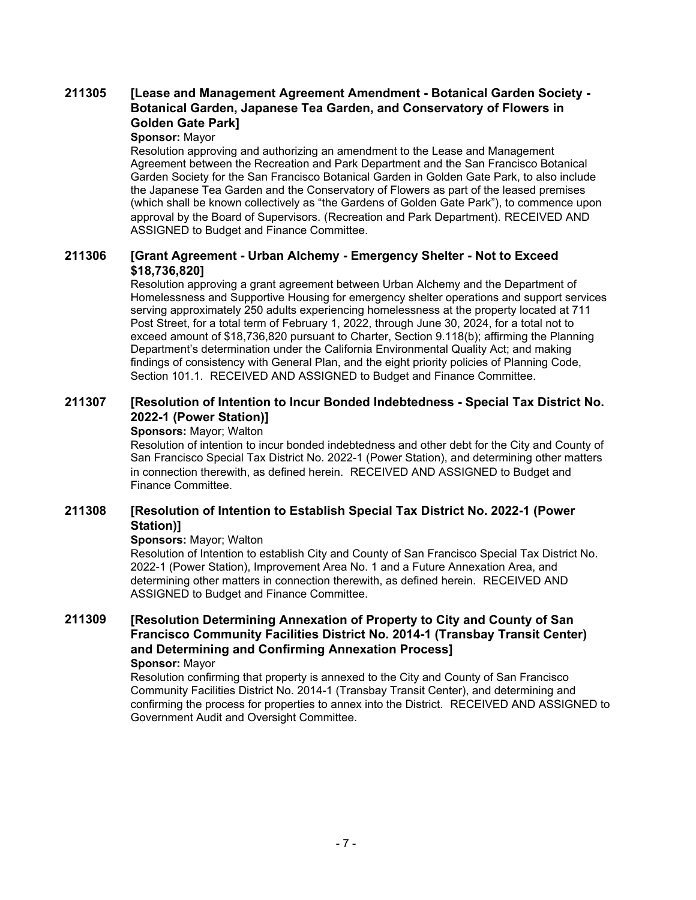### **[Lease and Management Agreement Amendment - Botanical Garden Society - Botanical Garden, Japanese Tea Garden, and Conservatory of Flowers in Golden Gate Park] 211305**

## **Sponsor:** Mayor

Resolution approving and authorizing an amendment to the Lease and Management Agreement between the Recreation and Park Department and the San Francisco Botanical Garden Society for the San Francisco Botanical Garden in Golden Gate Park, to also include the Japanese Tea Garden and the Conservatory of Flowers as part of the leased premises (which shall be known collectively as "the Gardens of Golden Gate Park"), to commence upon approval by the Board of Supervisors. (Recreation and Park Department). RECEIVED AND ASSIGNED to Budget and Finance Committee.

#### **[Grant Agreement - Urban Alchemy - Emergency Shelter - Not to Exceed \$18,736,820] 211306**

Resolution approving a grant agreement between Urban Alchemy and the Department of Homelessness and Supportive Housing for emergency shelter operations and support services serving approximately 250 adults experiencing homelessness at the property located at 711 Post Street, for a total term of February 1, 2022, through June 30, 2024, for a total not to exceed amount of \$18,736,820 pursuant to Charter, Section 9.118(b); affirming the Planning Department's determination under the California Environmental Quality Act; and making findings of consistency with General Plan, and the eight priority policies of Planning Code, Section 101.1. RECEIVED AND ASSIGNED to Budget and Finance Committee.

#### **[Resolution of Intention to Incur Bonded Indebtedness - Special Tax District No. 2022-1 (Power Station)] 211307**

## **Sponsors:** Mayor; Walton

Resolution of intention to incur bonded indebtedness and other debt for the City and County of San Francisco Special Tax District No. 2022-1 (Power Station), and determining other matters in connection therewith, as defined herein. RECEIVED AND ASSIGNED to Budget and Finance Committee.

#### **[Resolution of Intention to Establish Special Tax District No. 2022-1 (Power Station)] 211308**

## **Sponsors:** Mayor; Walton

Resolution of Intention to establish City and County of San Francisco Special Tax District No. 2022-1 (Power Station), Improvement Area No. 1 and a Future Annexation Area, and determining other matters in connection therewith, as defined herein. RECEIVED AND ASSIGNED to Budget and Finance Committee.

### **[Resolution Determining Annexation of Property to City and County of San Francisco Community Facilities District No. 2014-1 (Transbay Transit Center) and Determining and Confirming Annexation Process] 211309 Sponsor:** Mayor

Resolution confirming that property is annexed to the City and County of San Francisco Community Facilities District No. 2014-1 (Transbay Transit Center), and determining and confirming the process for properties to annex into the District. RECEIVED AND ASSIGNED to Government Audit and Oversight Committee.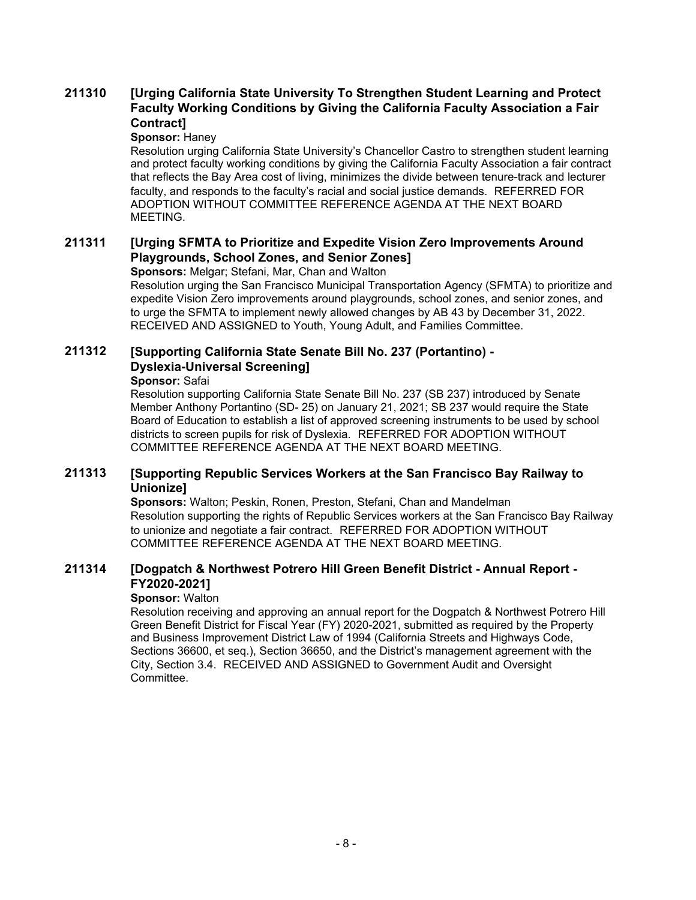### **[Urging California State University To Strengthen Student Learning and Protect Faculty Working Conditions by Giving the California Faculty Association a Fair Contract] 211310**

## **Sponsor:** Haney

Resolution urging California State University's Chancellor Castro to strengthen student learning and protect faculty working conditions by giving the California Faculty Association a fair contract that reflects the Bay Area cost of living, minimizes the divide between tenure-track and lecturer faculty, and responds to the faculty's racial and social justice demands. REFERRED FOR ADOPTION WITHOUT COMMITTEE REFERENCE AGENDA AT THE NEXT BOARD MEETING.

#### **[Urging SFMTA to Prioritize and Expedite Vision Zero Improvements Around Playgrounds, School Zones, and Senior Zones] 211311**

**Sponsors:** Melgar; Stefani, Mar, Chan and Walton

Resolution urging the San Francisco Municipal Transportation Agency (SFMTA) to prioritize and expedite Vision Zero improvements around playgrounds, school zones, and senior zones, and to urge the SFMTA to implement newly allowed changes by AB 43 by December 31, 2022. RECEIVED AND ASSIGNED to Youth, Young Adult, and Families Committee.

#### **[Supporting California State Senate Bill No. 237 (Portantino) - Dyslexia-Universal Screening] 211312**

## **Sponsor:** Safai

Resolution supporting California State Senate Bill No. 237 (SB 237) introduced by Senate Member Anthony Portantino (SD- 25) on January 21, 2021; SB 237 would require the State Board of Education to establish a list of approved screening instruments to be used by school districts to screen pupils for risk of Dyslexia. REFERRED FOR ADOPTION WITHOUT COMMITTEE REFERENCE AGENDA AT THE NEXT BOARD MEETING.

#### **[Supporting Republic Services Workers at the San Francisco Bay Railway to Unionize] 211313**

**Sponsors:** Walton; Peskin, Ronen, Preston, Stefani, Chan and Mandelman Resolution supporting the rights of Republic Services workers at the San Francisco Bay Railway to unionize and negotiate a fair contract. REFERRED FOR ADOPTION WITHOUT COMMITTEE REFERENCE AGENDA AT THE NEXT BOARD MEETING.

#### **[Dogpatch & Northwest Potrero Hill Green Benefit District - Annual Report - FY2020-2021] 211314**

## **Sponsor:** Walton

Resolution receiving and approving an annual report for the Dogpatch & Northwest Potrero Hill Green Benefit District for Fiscal Year (FY) 2020-2021, submitted as required by the Property and Business Improvement District Law of 1994 (California Streets and Highways Code, Sections 36600, et seq.), Section 36650, and the District's management agreement with the City, Section 3.4. RECEIVED AND ASSIGNED to Government Audit and Oversight Committee.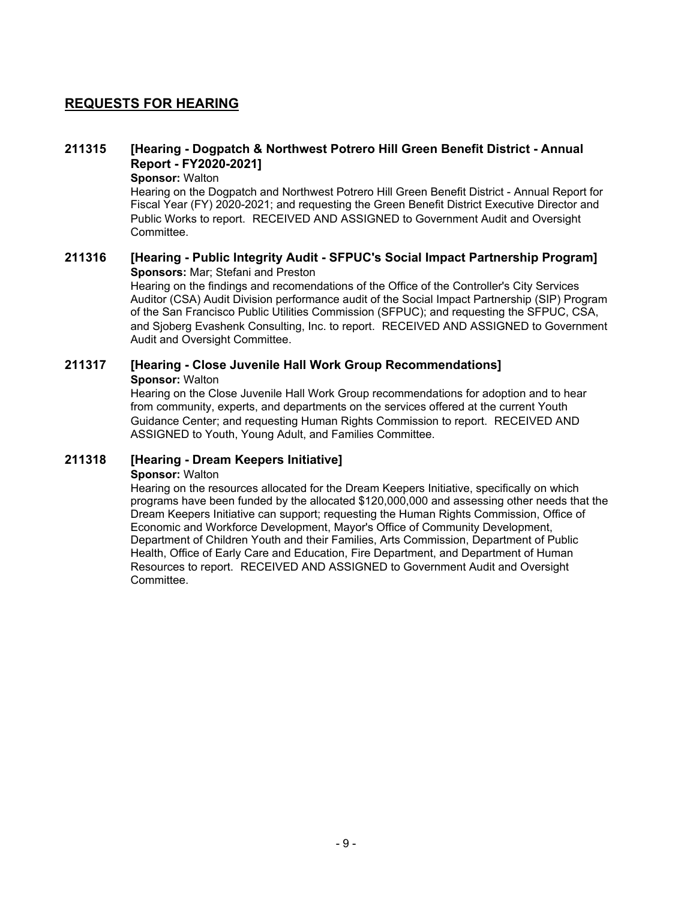# **REQUESTS FOR HEARING**

#### **[Hearing - Dogpatch & Northwest Potrero Hill Green Benefit District - Annual Report - FY2020-2021] 211315**

**Sponsor:** Walton

Hearing on the Dogpatch and Northwest Potrero Hill Green Benefit District - Annual Report for Fiscal Year (FY) 2020-2021; and requesting the Green Benefit District Executive Director and Public Works to report. RECEIVED AND ASSIGNED to Government Audit and Oversight Committee.

## **211316 [Hearing - Public Integrity Audit - SFPUC's Social Impact Partnership Program] Sponsors:** Mar; Stefani and Preston

Hearing on the findings and recomendations of the Office of the Controller's City Services Auditor (CSA) Audit Division performance audit of the Social Impact Partnership (SIP) Program of the San Francisco Public Utilities Commission (SFPUC); and requesting the SFPUC, CSA, and Sjoberg Evashenk Consulting, Inc. to report. RECEIVED AND ASSIGNED to Government Audit and Oversight Committee.

## **211317 [Hearing - Close Juvenile Hall Work Group Recommendations] Sponsor:** Walton

Hearing on the Close Juvenile Hall Work Group recommendations for adoption and to hear from community, experts, and departments on the services offered at the current Youth Guidance Center; and requesting Human Rights Commission to report. RECEIVED AND ASSIGNED to Youth, Young Adult, and Families Committee.

## **211318 [Hearing - Dream Keepers Initiative]**

## **Sponsor:** Walton

Hearing on the resources allocated for the Dream Keepers Initiative, specifically on which programs have been funded by the allocated \$120,000,000 and assessing other needs that the Dream Keepers Initiative can support; requesting the Human Rights Commission, Office of Economic and Workforce Development, Mayor's Office of Community Development, Department of Children Youth and their Families, Arts Commission, Department of Public Health, Office of Early Care and Education, Fire Department, and Department of Human Resources to report. RECEIVED AND ASSIGNED to Government Audit and Oversight Committee.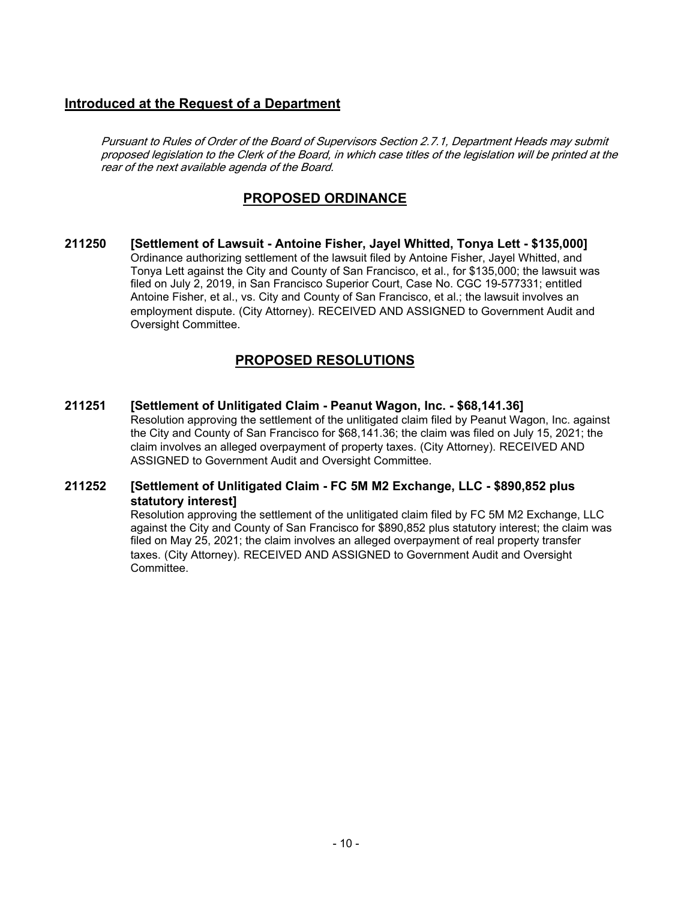# **Introduced at the Request of a Department**

Pursuant to Rules of Order of the Board of Supervisors Section 2.7.1, Department Heads may submit proposed legislation to the Clerk of the Board, in which case titles of the legislation will be printed at the rear of the next available agenda of the Board.

# **PROPOSED ORDINANCE**

**211250 [Settlement of Lawsuit - Antoine Fisher, Jayel Whitted, Tonya Lett - \$135,000]** Ordinance authorizing settlement of the lawsuit filed by Antoine Fisher, Jayel Whitted, and Tonya Lett against the City and County of San Francisco, et al., for \$135,000; the lawsuit was filed on July 2, 2019, in San Francisco Superior Court, Case No. CGC 19-577331; entitled Antoine Fisher, et al., vs. City and County of San Francisco, et al.; the lawsuit involves an employment dispute. (City Attorney). RECEIVED AND ASSIGNED to Government Audit and Oversight Committee.

# **PROPOSED RESOLUTIONS**

**211251 [Settlement of Unlitigated Claim - Peanut Wagon, Inc. - \$68,141.36]** Resolution approving the settlement of the unlitigated claim filed by Peanut Wagon, Inc. against the City and County of San Francisco for \$68,141.36; the claim was filed on July 15, 2021; the claim involves an alleged overpayment of property taxes. (City Attorney). RECEIVED AND ASSIGNED to Government Audit and Oversight Committee.

#### **[Settlement of Unlitigated Claim - FC 5M M2 Exchange, LLC - \$890,852 plus statutory interest] 211252**

Resolution approving the settlement of the unlitigated claim filed by FC 5M M2 Exchange, LLC against the City and County of San Francisco for \$890,852 plus statutory interest; the claim was filed on May 25, 2021; the claim involves an alleged overpayment of real property transfer taxes. (City Attorney). RECEIVED AND ASSIGNED to Government Audit and Oversight Committee.